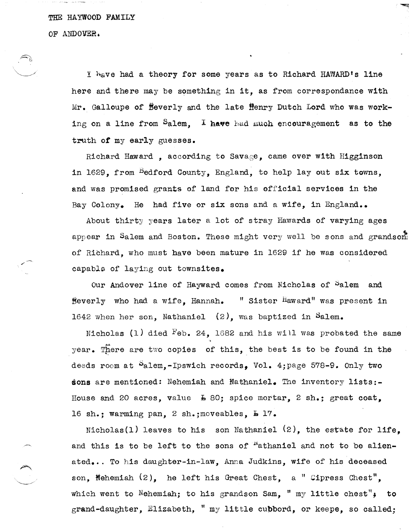THE HAYWOOD FAMILY

OF ANDOVER.

r....

 $\smile$   $\smile$ 

I have had a theory for some years as to Richard HAWARD's line here and there may be something in it, as from correspondance with  $Mr.$  Galloupe of  $Beverly$  and the late  $\bar{H}$ enry Dutch Lord who was working on a line from  $S$ alem. I have had much encouragement as to the truth of my early guesses.

Richard Haward , according to Savage, came over with Higginson in 1629, from Bedford County, England, to help lay out six towns, and was promised grants of land for his official services in the Bay Colony. He had five or six sons and a wife, in England..

About thirty years later a lot of stray Hawards of varying ages appear in Salem and Boston. These might very well be sons and grandson. of Richard, who must have been mature in 1629 if he was considered capabls of laying out townsites.

Our Andover line of Hayward comes from Nicholas of Salem and Beverly who had a wife, Hannah. "Sister Haward" was present in 1642 when her son, Nathaniel (2), was baptized in Salem.

Nicholas (1) died  $\text{Feb. 24, } 1682$  and his will was probated the same year. There are two copies of this, the best is to be found in the deeds room at Palem,-Ipswich records, Vol. 4; page 578-9. Only two sons are mentioned: Nehemiah and Nathaniel. The inventory lists:- House and 20 acres, value  $\overline{L}$  80; spice mortar, 2 sh.; great coat, 16 sh.; warming pan, 2 sh.; moveables,  $\texttt{L}$  17.

Nicholas(l) leaves to his son Nathaniel (2), the estate for life, and this is to be left to the sons of  $^{\prime\prime}$  athaniel and not to be alienated... To his daughter-in-law, Anna Judkins, wife of his deceased son, Nehemiah  $(2)$ , he left his Great Chest, a " Cipress Chest", which went to  $\texttt{Nehemiah};$  to his grandson Sam, "  $\texttt{my little chest"}$ , to grand-daughter, Elizabeth, " my little cupbord, or keepe, so called;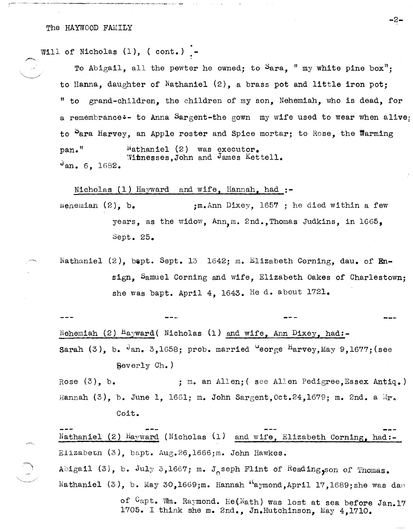Will of Nicholas (1), ( cont.) -

To Abigail, all the pewter he owned; to  $S$ ara, " my white pine box"; to Hanna, daughter of Nathaniel (2), a brass pot and little iron pot; "to grand-children, the children of my son, Nehemiah, who is dead, for a remembrance:- to Anna Sargent-the gown my wife used to wear when alive to  $P$ ara Harvey, an Apple roster and Spice mortar; to Rose, the Warming  $pan.$ "  $Nathaniel (2)$  was executor. Witnesses. John and James Kettell. Jan. 6, 1682.

Nicholas (1) Hayward and wife, Hannah, had  $:$ -

wenemian  $(2)$ , b.  $,m$ . Ann Dixey, 1657 ; he died within a few years, as the widow,  $Ann_{n}$ m. 2nd., Thomas Judkins, in 1665, Sept. 25.

Nathaniel (2), bapt. Sept. 13 1642; m. Elizabeth Corning, dau. of Ensign, Samuel Corning and wife, Elizabeth Oakes of Charlestown; she was bapt. April 4, 1643. He d. about  $1721$ .

Nehemiah (2)  $\text{Hayward}$  ( Nicholas (1) and wife, Ann Dixey, had:-Sarah (3), b.  $J_{an}$ , 3,1658; prob. married  $J_{\text{eorge}}$   $H_{\text{arvey, May}}$  9,1677; (see Beverly Ch.)

Rose (3), b. ; m. an Allen; ( see Allen Pedigree, Essex Antiq.) Hannah  $(3)$ , b. June 1, 1661; m. John Sargent, Oct.24,1679; m. 2nd. a  $Mr_{\sigma}$ Coit.

Nathaniel (2)  $H_{\text{A}y\text{W}}$ ard (Nicholas (1) and wife, Elizabeth Corning, had:-Elizabeth  $(3)$ , bapt. Aug.26,1666;m. John Hawkes.

Abigail (3), b. July 3,1667; m. Joseph Flint of Reading, son of Thomas. Nathaniel (3), b. May 30,1669;m. Hannah  $^{\prime\prime}$ aymond,April 17,1689;she was dau

> of Capt. Wm. Raymond. He(Nath) was lost at sea before Jan.17 1705. I think she m. 2nd., In.Hutchinson, May 4,1710.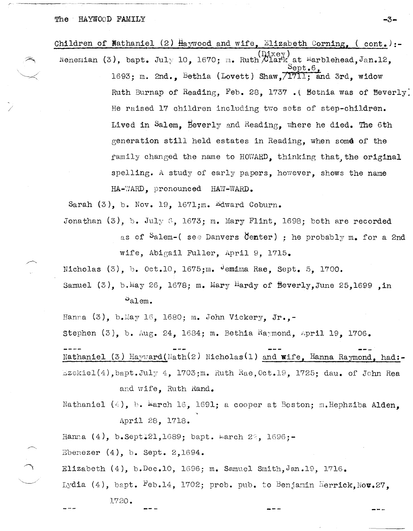/

| Children of Wathaniel (2) $\frac{1}{2}$ aywood and wife, Elizabeth Corning, (cont.) :- |
|----------------------------------------------------------------------------------------|
| Nenemian (3), bapt. July 10, 1670; m. Ruth Clark at Marblehead, Jan.12.<br>Sept.6.     |
| 1693; m. 2nd., Bethia (Lovett) Shaw, 1711; and 3rd, widow                              |
| Ruth Burnap of Reading, Feb. 28, 1737. (Bethia was of Beverly                          |
| He raised 17 children including two sets of step-children.                             |
| Lived in Salem, Beverly and Reading, where he died. The 6th                            |
| generation still held estates in Reading, when some of the                             |
| family changed the name to HOWARD, thinking that, the original                         |
| spelling. A study of early papers, however, shows the name                             |
| HA-WARD, pronounced HAW-WARD.                                                          |
|                                                                                        |

Sarah  $(3)$ , b. Nov. 19, 1671;m. Edward Coburn.

Jonathan  $(3)$ , b. July 6, 1673; m. Mary Flint, 1698; both are recorded as of Salem-( see Danvers Center) ; he probably m. for a 2nd wife, Abigail Fuller, April 9, 1715.

Nicholas (3), b. Oct.10, 1675;m. Jemima Rae, Sept. 5, 1700.

Samuel (3), b. May 26, 1678; m. Mary Hardy of Beverly, June 25,1699 in  $\mathcal{P}_{\text{a1em}}$ .

Hanna  $(3)$ , b. May 16, 1680; m. John Vickery, Jr.,-

Stephen  $(3)$ , b. Aug. 24, 1684; m. Bethia Raymond, April 19, 1706.

Nathaniel (3) Hayward(Nath(2) Nicholas(1) and wife. Hanna Raymond. had:- $Ezekiel(4)$ , bapt.July 4, 1703;m. Ruth Rae, Oct.19, 1725; dau. of John Rea and wife, Ruth Rand.

Nathaniel (4), b. March 16, 1691; a cooper at Boston; m.Hephziba Alden. April 28, 1718.

Hanna (4), b.Sept $\ddagger$ 21,1689; bapt. larch 2°, 1696;-

 $Ebenezer (4), b. Sept. 2,1694.$ 

Elizabeth  $(4)$ , b.Dec.10, 1696; m. Samuel Smith, Jan.19, 1716.

Lydia (4), bapt. Feb.14, 1702; prob. pub. to Benjamin Herrick, Nov.27.

1720.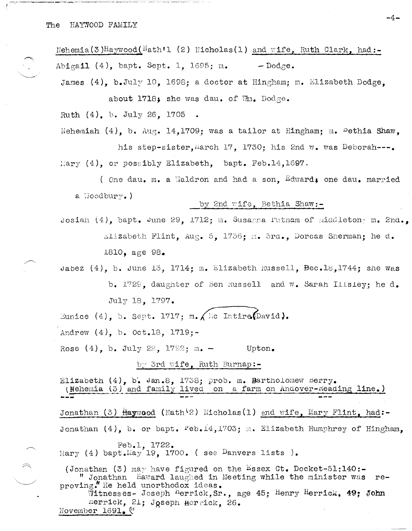Nehemia(3)Haywood(Nath'l (2) Nicholas(1) and wife, Ruth Clark, had:-Abigail (4), bapt. Sept. 1, 1695; m.  $-$  Dodge.

James (4), b.July 10, 1698; a doctor at Hingham; m. Elizabeth Dodge, about 1718; she was dau. of Wm. Dodge.

Ruth  $(4)$ , b. July 26, 1705

Nehemiah  $(4)$ , b. Aug. 14,1709; was a tailor at Hingham; m. <sup>B</sup>ethia Shaw. his step-sister, march 17, 1730; his 2nd w. was Deborah---. Mary  $(4)$ , or possibly Elizabeth, bapt. Feb.14.1697.

(one dau. m. a Waldron and had a son. Edward, one dau. married a Woodbury.)

## by 2nd wife, Bethia Shaw:-

Josiah  $(4)$ , bapt. June 29, 1712; m. Susanna Futnam of middleton; m. 2nd., Elizabeth Flint, Aug. 5, 1736; m. 3rd., Dorcas Sherman; he d. 1810, age  $98<sub>•</sub>$ 

Jabez  $(4)$ , b. June 13, 1714; m. Elizabeth Russell, Bec.18,1744; she was b. 1729, daughter of Ben Russell and W. Sarah Ilisley; he d. July 18. 1797.

Eunice (4), b. Sept. 1717; m.  $\bigwedge$  Mc Intire (David).

Andrew  $(4)$ , b. Oct.18, 1719;-

Rose  $(4)$ , b. July 22, 1722; m. -Upton.

## by 3rd wife, Ruth Burnap:-

Elizabeth  $(4)$ , b. Jan.8, 1738; prob. m. Bartholomew Berry. (Mehemia (3) and family lived on a farm on Andover-Keading line.) Jonathan (3) Haywood (Nath<sup>(2)</sup> Nicholas(1) and wife, Mary Flint, had:-Jonathan  $(4)$ , b. or bapt.  $Feb.14, 1703$ ; m. Elizabeth Humphrey of Hingham, Feb.1. 1722. Mary (4) bapt. May 19, 1700. (see Danvers lists). (Jonathan (3) may have figured on the Essex Ct. Docket-51:140:-" Jonathan Haward laughed in Meeting while the minister was reproving." He held unorthodox ideas. Witnesses- Joseph Herrick, Sr., age 45; Henry Herrick, 49; John Herrick, 21; Joseph Herrick, 26.

November 1691. (

 $\mathbb{R}$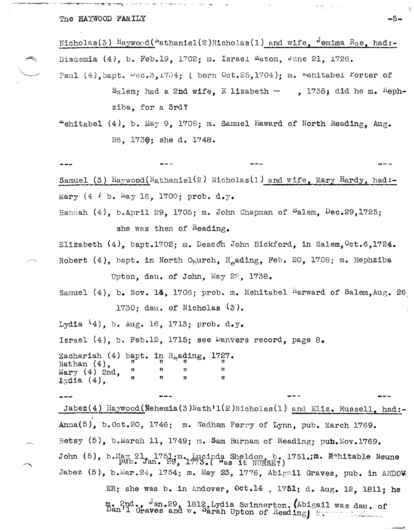The HAYWOOD FAMILY

Nicholas(3) Haywood( $N$ athaniel(2)Micholas(1) and wife,  $\frac{1}{2}$  emima  $R_{a}$ e, had:-Diademia (4), b. Feb.19, 1702; m. Israel Laton, June 21, 1726. Paul  $(4)$ , bapt.  $\nu$ ec.  $3,1704$ ; (born  $0ct.25,1704$ ); m. <sup>m</sup>ehitabel Porter of

> Salem: had a 2nd wife. E lizabeth - . 1738; did he m.  ${}^{H}eph$ ziba, for a 3rd?

"ehitabel (4), b. May 9, 1708; m. Samuel Haward of North Reading, Aug. 26. 1730; she d. 1748.

Samuel (3)  $\text{Haywood}(\text{Mathaniel}(2) \text{ Micholas}(1) \text{ and wife}, \text{Mary Hardy}, \text{had}$ :-Mary  $(4 \cdot b \cdot \text{May } 16, 1700; \text{ prob. } d \cdot y)$ .

Hannah  $(4)$ , b.April 29, 1705; m. John Chapman of Salem, Dec.29, 1725;

she was then of Reading.

Elizabeth (4), bapt.1702; m. Deacon John Bickford, in Salem, Oct.6,1724. Robert  $(4)$ , bapt. in North C<sub>h</sub>urch, R<sub>o</sub>ading, Feb. 20, 1708; m. Hephziba

Upton, dau. of John, May 22, 1738.

Samuel  $(4)$ , b. Nov. 14, 1706; prob. m. Mehitabel <sup>H</sup>arward of Salem, Aug. 26 1730; day. of Nicholas  $(3)$ .

Lydia  $(4)$ , b. Aug. 16, 1713; prob. d.y.

Israel  $(4)$ , b. Feb.12, 1715; see Danvers record, page 8.

Zachariah (4) bapt. in R<sub>o</sub>ading, 1727. Nathan  $(4)$ , Mary  $(4)$  2nd,  $2$  dia  $(4)$ ,

Jabez(4) Haywood(Nehemia(3)Nath'1(2)Nicholas(1) and Eliz. Russell, had:-Anna(5), b. Oct. 20, 1746; m. Wadham Perry of Lynn, pub. March 1769. Betsy (5), b.March 11, 1749; m. Sam Burnam of Reading; pub. Nov. 1769. John (5), b. May 21, 1751; m. Lucinda Sheldon, b. 1751.; m. Mehitable Neune pub. Jan. 29, 1773. ( Was it NURSE?) Jabez (5), b.Mar.24, 1754; m. May 23, 1776, Abigail Graves, pub. in ANDOW ER; she was b. in Andover, Oct.14, 1751; d. Aug. 12, 1811; he

m. 2nd., Jan.29, 1812, Lydia Swinnerton. (Abigail was dau. of Dan'l Graves and w. Sarah Upton of Reading, European Communication

 $-5-$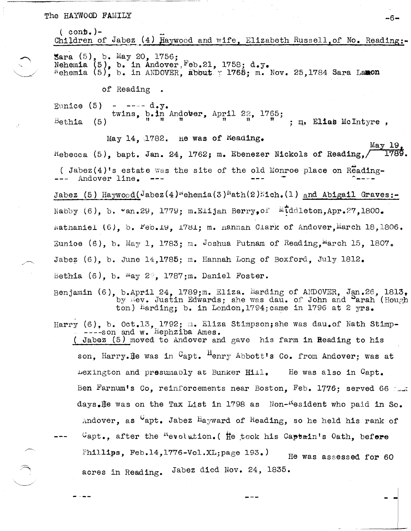## The HAYWOOD FAMILY  $-6-$

 $\sim$  . The set of  $\sim$ 

 $($  con**b.**) – Children of Jabez  $(4)$  Haywood and wife. Elizabeth Russell.of No. Reading:- $\frac{1}{5}$  ara  $(5)$ , b. May 20, 1756; Nehemia  $(5)$ , b. in Andover.  $Feb.21$ , 1758; d.y. wehemia (5), b. in ANDOVER, abbut. $\sim$  1766; m. Nov. 25,1784 Sara Lamon of Reading Eunice  $(5)$  - ---- d.y. Bethia twins, b.in Andober, April 22, 1765;<br>(5)  $\frac{1}{n}$   $\frac{n}{n}$  and  $\frac{n+1}{n}$   $\frac{22}{n}$ ,  $\frac{1765}{n}$  ;  $\frac{n}{n}$  Elias McIntyre. May 14,  $1782$ . He was of Keading. May 19  $R$ ebecca (5), bapt. Jan. 24. 1762; m. Ebenezer Nickols of Reading. ( Jabez(4)'s estate was the site of the old Monroe place on Reading-Andover line. Jabez (5) Haywood(Jabez(4)<sup>n</sup>ehemia(3)<sup>h</sup>ath(2).<sup>1</sup>ich.(1) and Abigail Graves:-.. .;..  $*$   $\texttt{u}$   $\texttt{u}$   $\texttt{u}$   $\texttt{u}$   $\texttt{u}$   $\texttt{u}$   $\texttt{u}$   $\texttt{u}$   $\texttt{v}$   $\texttt{u}$   $\texttt{v}$   $\texttt{u}$   $\texttt{v}$   $\texttt{v}$   $\texttt{v}$   $\texttt{v}$   $\texttt{v}$   $\texttt{v}$   $\texttt{v}$   $\texttt{v}$   $\texttt{v}$   $\texttt{v}$   $\texttt{v}$   $\texttt{v}$  hathaniel (6), b.  $l'$ eb.19, 1781; m. nannah Clark of Andover, March 18,1806. Eunioe (6), b. May 1, 1783; m. Joshua Putnam of Reading. March 15, 1807. Jabez (6), b. June 14,1785; m. Hannah Long of Boxford, July 1812. Bethia (6), b.  $\log 2$ , 1787;m. Daniel Foster. Benjamin (6), b.April 24, 1789;m. Eliza. Harding of ANDOVER, Jan.26, 1813, by liev. Justin Edwards; she was dau. of John and Barah (Hough ton) harding; b. in London, 1794; came in 1796 at 2 yrs. Harry (6), b. Oct.13, 1792; m. Eliza Stimpson;she was dau.of Nath Stimp-----son and w. Hephziba Ames. ( Jabez  $(5)$  moved to Andover and gave his farm in Reading to his son. Harry.He was in  $C_{\text{apt.}}$   $\frac{H_{\text{enry.}}}{H_{\text{enry.}}}$  Abbott's Co. from Andover: was at Lexington and presumably at Bunker  $Hill.$  He was also in Capt. Ben Farnum's Co, reinforcements near Boston, Feb. 1776; served 66 fla days.He was on the Tax List in 1798 as Non-"esident who paid in So.

 $C$ apt., after the <sup>n</sup>evolution. ( ite took his Captain's Oath, before Phillips, Feb.14,1776-Vol.XL;page  $193.$  He was assessed for 60 acres in Reading. Jabez died Nov. 24, 1835.

Andover, as  $\mathsf{v}_{\text{apt.}}$  Jabez Hayward of Reading, so he held his rank of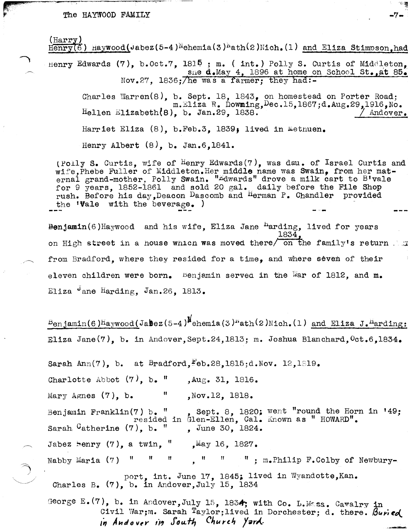#### The HAYWOOD FAMILY

 $(Harrow)$  $\overline{\text{Henry}(6)}$  Haywood(Jabez(5-4)<sup>N</sup>ehemia(3)<sup>N</sup>ath(2)Nich.(1) and Eliza Stimpson.had Henry Edwards  $(7)$ , b. Oct.7, 1815; m. (int.) Polly S. Curtis of Middleton. sne d.May 4. 1896 at home on School St., at 85. Nov. 27. 1836: The was a farmer: they had: -Charles Warren $(8)$ , b. Sept. 18, 1843, on homestead on Porter Road; m.Eliza R. Downing, Dec.15, 1867; d.Aug.29, 1916, No. Hellen Elizabeth $(8)$ , b. Jan.29, 1838. Andover. Harriet Eliza (8), b.Feb.3, 1839; lived in Methuen. Henry Albert (8). b. Jan.6.1841.

 $-7-$ 

(Polly S. Curtis, wife of Henry Edwards(7), was dau. of Israel Curtis and wife, Phebe Fuller of Middleton. Her middle name was Swain, from her mat-<br>ernal grand-mother, Polly Swain. "Edwards" drove a milk cart to B'vale for 9 years, 1852-1861 and sold 20 gal. daily before the File Shop<br>rush. Before his day, Deacon Dascomb and Herman P. Chandler provided the **Vale** with the beverage.

Benjamin(6) Haywood and his wife, Eliza Jane  $<sup>h</sup>$ arding, lived for years</sup> 1834. on High street in a house which was moved there on the family's return . from Bradford, where they resided for a time, and where seven of their eleven children were born. Benjamin served in the War of 1812, and  $m_e$ Eliza Jane Harding, Jan. 26, 1813.

 $B_{en,iamin(6)}$  Haywood(Jabez(5-4)<sup>M</sup>ehemia(3)<sup>N</sup>ath(2)Nich.(1) and Eliza J.<sup>H</sup>arding: Eliza Jane $(7)$ , b. in Andover, Sept.24, 1813; m. Joshua Blanchard,  $0$ ct.6, 1834.

Sarah Ann(7), b. at Bradford,  $Feb.28.1815$ :d. Nov. 12.1819. Charlotte Abbot  $(7)$ , b. " ,  $Aug. 31, 1816.$ Mary Agnes  $(7)$ , b. H. , Nov. 12, 1818. Sept. 8, 1820; went "round the Horn in '49: Benjamin Franklin(7) b. " resided in Glen-Ellen, Cal. Known as " HOWARD". Sarah  $G$ atherine  $(7)$ , b. " , June 30, 1824. Jabez henry  $(7)$ , a twin, " "May 16, 1827. Nabby Maria  $(7)$  " " " ; m.Philip F.Colby of Newbury- $\boldsymbol{\mathsf{H}}$  $\boldsymbol{\Pi}$  $\boldsymbol{\mathsf{u}}$ 

port, int. June 17, 1845; lived in Wyandotte, Kan. Charles B.  $(7)$ , b. in Andover, July 15, 1834

George E. (7), b. in Andover, July 15, 1834; with Co. L. Mass. Cavalry in Civil War; m. Sarah Taylor; lived in Dorchester; d. there. Buried in Andover in South Church Yard.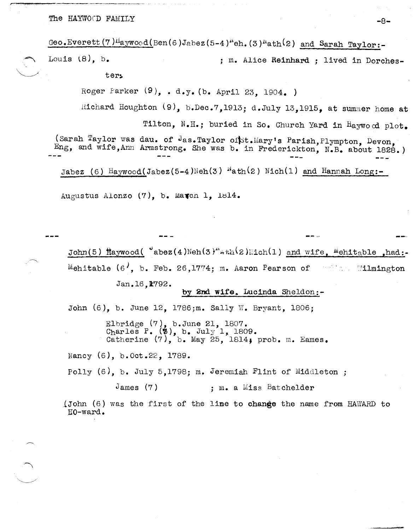The HAYWOOD FAMILY  $-8-$ 

Geo.Everett (7) $H_{\text{a}ywood}$ (Ben(6)Jabez (5-4) $^{\text{N}}$ eh. (3) $^{\text{N}}$ ath<sup>(</sup>2) and Sarah Taylor:-

Louis (8), b.  $\qquad \qquad ;$  m. Alice Reinhard ; lived in Dorches-

ter:.

Roger Parker  $(9)$ , . d.y. (b. April 23, 1904.)

Richard Houghton  $(9)$ , b.Dec.7,1913; d.July 13,1915, at summer home at

Tilton, N.H.; buried in So. Church Yard in Haywood plot.

(Sarah Taylor was dau. of Jas.Taylor of st.Mary's Parish, Plympton, Devon, Eng, and wife, Ann Armstrong. She was b. in Frederickton, N.B. about 1828.)

Jabez (6) Haywood(Jabez(5-4)Neh(3)  $^{\mu}$ ath(2) Nich(1) and Hannah Long:-

Augustus Alonzo  $(7)$ , b. Match 1, 1814.

John(5) Haywood(  $\texttt{'abez(4)}$ Neh(3)" $\texttt{a}$ th(2)Hich(1) and wife,  $\texttt{Mehitable}$ , had: Mehitable  $(6', b.$  Feb. 26,1774; m. Aaron Pearson of **Example Wilmington** 

Jan.16.K792.

### by 2nd wife. Lucinda Sheldon:-

John (6), b. June 12, 1786;m. Sally W. Bryant, 1806;

Elbridge (7), b.June 21, 1807. Charles P.  $(\phi)$ , b. July 1, 1809. Catherine  $(7)$ , b. May 25, 1814; prob. m. Eames.

Nancy (6), b.Oct.22, 1789.

Polly (6), b. July 5,1798; m. Jeremiah Flint of Middleton ;

James (7) ; m. a Miss Batchelder

{John (6) was the first of the line to change the name from HAWARD to HO-ward.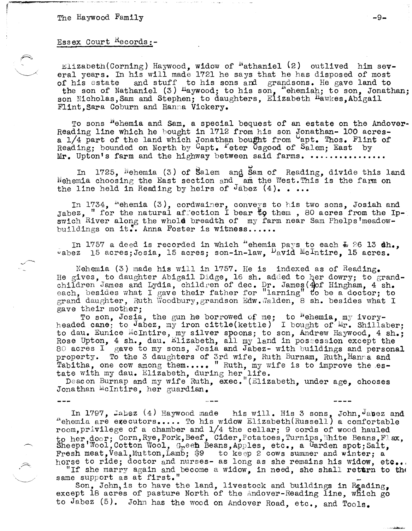# Essex Court Hecords:-

Elizabeth (Corning) Haywood, widow of "athaniel (2) outlived him several years. In his will made 1721 he says that he has disposed of most of his estate and stuff to his sons and grandsons. He gave land to the son of Nathaniel (3) Haywood; to his son, "ehemiah; to son, Jonathan; son Nicholas, Sam and Stephen; to daughters, Elizabeth Hawkes, Abigail Flint. Sara Coburn and Hanna Vickery.

To sons "ehemia and Sam, a special bequest of an estate on the Andover-Reading line which he bought in 1712 from his son Jonathan- 100 acres-<br>a 1/4 part of the land which Jonathan bought from apt. Thos. Flint of Reading; bounded on North by Capt. Peter Osgood of Salem; East by Mr. Upton's farm and the highway between said farms. ................

In 1725, Nehemia (3) of Salem and Sam of Reading, divide this land Nehemia choosing the East section and am the West. This is the farm on the line held in Reading by heirs of Jabez  $(4)$ . ...

In 1734, "ehemia (3), cordwainer, conveys to his two sons, Josiah and Jabez, " for the natural affection I bear to them, 80 acres from the Ipswich River along the whold breadth of my farm near Sam Phelps'meadowbuildings on it.. Anna Foster is witness......

In 1757 a deed is recorded in which "ehemia pays to each  $\pm$  26 13 dh., vabez 15 acres; Josia, 15 acres; son-in-law,  $\nu_{\text{avid}}$  McIntire, 15 acres.

Nehemia (3) made his will in 1757. He is indexed as of Reading. He gives, to daughter Abigail Didge, 16 sh. added to her dowry; to grandchildren James and Lydia, children of dec. Dr. James (4)of Hingham, 4 sh.<br>each, besides what I gave their father for "larning" to be a doctor; to grand daughter, Ruth Woodbury, grandson Edw. Walden, 8 sh. besides what I gave their mother:

To son, Josia, the gun he borrowed of me; to <sup>n</sup>ehemia, my ivory-<br>headed cane; to Jabez, my iron cittle(kettle) I bought of Mr. Shillaber; to dau. Eunice McIntire, my silver spoons; to son, Andrew Haywood, 4 sh.; Rose Upton, 4 sh., dau. Elizabeth, all my land in possession except the 80 acres I gave to my sons, Josia and Jabez- with buildings and personal property. To the 3 daughters of 3rd wife, Ruth Burnam, Ruth, Hanna and Tabitha, one cow among them..... " Ruth, my wife is to improve the es-

tate with my dau. Elizabeth, during her life.<br>Deacon Burnap and my wife Ruth, exec. "(Elizabeth, under age, chooses Jonathan McIntire, her guardian.

In 1797, Jabez (4) Haywood made his will. His 3 sons, John, Jabez and "ehemia are executors.... To his widow Elizabeth (Russell) a comfortable room, privilege of a chamber and 1/4 the cellar; 9 cords of wood hauled<br>to her door; Corn, Rye, Pork, Beef, Cider, Potatoes, Turnips, White Beans, Flax,<br>Sheeps Wool, Cotton Wool, Green Beans, Apples, etc., a Garden spot; S Fresh meat, Veal, Mutton, Lamb;  $\frac{1}{9}9$  to keep 2 cows summer and winter; a horse to ride; doctor and nurses- as long as she remains his widow, etc...

"If she marry again and become a widow, in need, she shall return to the same support as at first."

Son, John, is to have the land, livestock and buildings in Reading, except 18 acres of pasture North of the Andover-Reading line, which go to Jabez (5). John has the wood on Andover Road, etc., and Tools.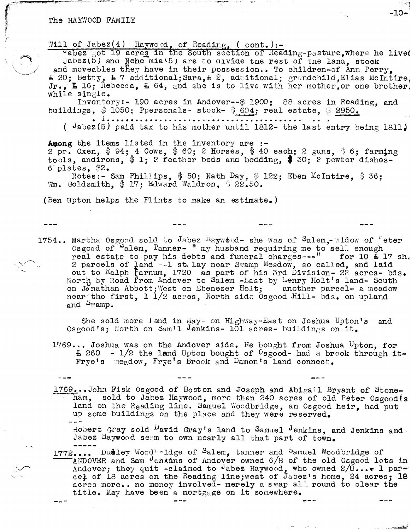#### The HAYWOOD FAMILY

Will of Jabez(4) Hayword, of Reading, (cont.) :-

vabez got 19 acres in the South section of Reading-pasture. where he lived Jabez(5) and Nehe mia(5) are to divide the rest of the land, stock and moveables they have in their possession.. To children-of Ann Perry.  $E$  20; Betty,  $E$  7 additional; Sara,  $E$  2, additional; grandchild, Elias McIntire Jr.,  $E$  16; Rebecca,  $E$  64, and she is to live with her mother, or one brother while single.

Inventory:- 190 acres in Andover--\$ 1900; 88 acres in Reading, and buildings, \$ 1050; Ppersonals- stock- \$ 604; real estate, \$ 2950.

( $Jabez(5)$  paid tax to his mother until 1812- the last entry being 1811)

Among the items listed in the inventory are :-2 pr. Oxen, \$94; 4 Cows, \$60; 2 Horses, \$40 each; 2 guns, \$6; farming tools, andirons, \$1; 2 feather beds and bedddng, \$30; 2 pewter dishes-

 $6$  plates.  $$2.$ Notes:- Sam Phillips.  $$50$ ; Nath Day.  $$122$ ; Eben McIntire.  $$36$ ; Wm. Goldsmith. \$ 17: Edward Waldron. \$ 22.50.

(Ben Upton helps the Flints to make an estimate.)

1754.. Martha Osgood sold to Jabez  $^{\text{H}}$ aywood- she was of Salem. widow of  $^{\text{F}}$ eter Osgood of Palem, Tanner- " my husband requiring me to sell enough real estate to pay his debts and funeral charges ---" for 10  $\frac{1}{2}$  17 sh. 2 parcels of land --1 st. lay near Swamp Meadow, so called, and laid<br>out to Ralph Farnum, 1720 as part of his 3rd Division- 22 acres- bds.<br>North by Road from Andover to Salem -East by Lenry Holt's land- South on Jonathan Abbott; West on Ebenezer Holt; another parcel- a meadow near the first. 1 1/2 acres, North side Osgood Hill- bds. on upland and  $\omega_{\text{wamp}}$ .

She sold more land in May- on Highway-East on Joshua Upton's and Osgood's; North on Sam'l Jenkins- 101 acres- buildings on it.

1769... Joshua was on the Andover side. He bought from Joshua Upton. for  $\text{E}$  260 - 1/2 the land Upton bought of <sup>0</sup>sgood- had a brook through it-Frye's meadow. Frye's Brook and Damon's land connect.

1769...John Fisk Osgood of Boston and Joseph and Abigail Bryant of Stoneham, sold to Jabez Haywood, more than 240 acres of old Peter Osgood(s land on the Reading line. Samuel Woodbridge, an Osgood heir, had put up some buildings on the place and they were reserved.

Robert Gray sold David Gray's land to Samuel Jenkins, and Jenkins and Jabez Haywood seem to own nearly all that part of town.

1772.... Dudley Woodbridge of Salem, tanner and Samuel Woodbridge of ANDOVER and Sam denkins of Andover owned 6/8 of the old Osgood lots in Andover; they quit -claimed to Jabez Haywood, who owned  $2/8...$  1 part cel of 18 acres on the Reading line; west of Jabez's home, 24 acres; 18 acres more.. no money involved- merely a swap all round to clear the title. May have been a mortgage on it somewhere.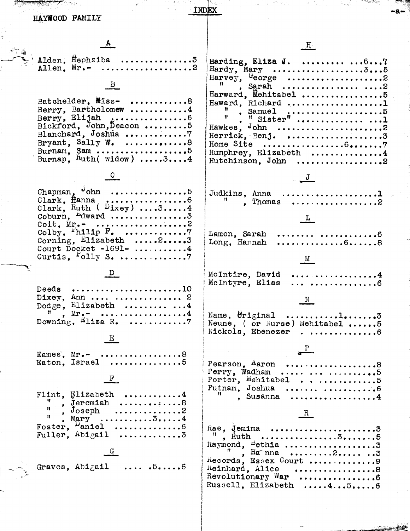| HAYWOOD FAMILY                                                                                                                                                | INDEX                                                                                                                                                                                                                                                                                                                                                                                                                                                                                                                                                                                                                       |
|---------------------------------------------------------------------------------------------------------------------------------------------------------------|-----------------------------------------------------------------------------------------------------------------------------------------------------------------------------------------------------------------------------------------------------------------------------------------------------------------------------------------------------------------------------------------------------------------------------------------------------------------------------------------------------------------------------------------------------------------------------------------------------------------------------|
|                                                                                                                                                               | $\overline{\mathbf{H}}$                                                                                                                                                                                                                                                                                                                                                                                                                                                                                                                                                                                                     |
| B<br>Batchelder, Miss- 8                                                                                                                                      | Harding, Eliza J. $\dots 67$<br>Harward, Mehitabel 5<br>Haward, Richard 1                                                                                                                                                                                                                                                                                                                                                                                                                                                                                                                                                   |
| Berry, Bartholomew 4<br>Bickford, John, Deacon 5<br>Bryant, Sally W. $\ldots \ldots \ldots \ldots \ldots$<br>Burnam, Sam 5<br>Burnap, $\frac{Ruth($ widow) 34 | Ħ.,<br>$\begin{array}{c} \begin{array}{c} \text{Sumu} \\ \text{H} \end{array} & \begin{array}{c} \text{Sumu} \\ \text{H} \end{array} & \begin{array}{c} \text{Sumu} \\ \text{H} \end{array} & \begin{array}{c} \text{Sumu} \\ \text{H} \end{array} & \begin{array}{c} \text{Sumu} \\ \text{H} \end{array} & \begin{array}{c} \text{Sumu} \\ \text{H} \end{array} & \begin{array}{c} \text{Sumu} \\ \text{H} \end{array} & \begin{array}{c} \text{Sumu} \\ \text{H} \end{array} & \begin{array}{c} \text{Sumu}$<br>$\mathbf{H}$<br>Hawkes, $J_{\text{ohn}}$ 2<br>Home Site 67<br>Humphrey, Elizabeth 4<br>Hutchinson. John 2 |
|                                                                                                                                                               |                                                                                                                                                                                                                                                                                                                                                                                                                                                                                                                                                                                                                             |
| Chapman, $J_{\text{ohn}}$ 5<br>Clark, $flanna, , , , 6$<br>Clark, Ruth ( $Dixey$ ) 34<br>Coburn, $^{\text{Edward}}$ 3                                         | Judkins, Anna 1<br>", Thomas 2                                                                                                                                                                                                                                                                                                                                                                                                                                                                                                                                                                                              |
| Colby, $F_{\text{nilip}} F_{\bullet} \dots \dots \dots \dots \dots$<br>Corning, Elizabeth 23<br>Court Docket -1691- $\ldots$ 4                                | Lamon, Sarah  6<br>Long, Hannah                                                                                                                                                                                                                                                                                                                                                                                                                                                                                                                                                                                             |
| Deeds $\dots\dots\dots\dots\dots\dots\dots\dots10$<br>Dixey, Ann  2                                                                                           | . 4<br>McIntire, David<br>McIntyre, Elias<br>. 6                                                                                                                                                                                                                                                                                                                                                                                                                                                                                                                                                                            |
| Dodge, Elizabeth  4<br>$\frac{E}{2}$                                                                                                                          | Neune, ( or Nurse) Mehitabel 5<br>Nickols, Ebenezer6                                                                                                                                                                                                                                                                                                                                                                                                                                                                                                                                                                        |
| Eames, Mr. - 8<br>Eaton, Israel 5<br>$\mathbf{F}$                                                                                                             | Pearson, Aaron 8<br>Perry, Wadham   5<br>Porter, Mehitabel5                                                                                                                                                                                                                                                                                                                                                                                                                                                                                                                                                                 |
| Flint, $E1$ izabeth 4                                                                                                                                         | Putnam, Joshua  6<br>$\mathbf{S}$ Susanna 4<br>R                                                                                                                                                                                                                                                                                                                                                                                                                                                                                                                                                                            |
| Fuller, $Abigail$ 3                                                                                                                                           | $^{\prime\prime}$ , Harma 23                                                                                                                                                                                                                                                                                                                                                                                                                                                                                                                                                                                                |
| Graves, Abigail  .56                                                                                                                                          | Records, Essex Court 9<br>Reinhard, Alice $\ldots$ 8<br>Revolutionary War 6<br>Russell, Elizabeth  4 5 6                                                                                                                                                                                                                                                                                                                                                                                                                                                                                                                    |